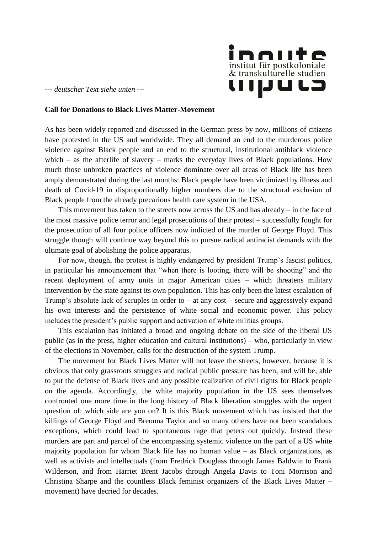

*--- deutscher Text siehe unten ---*

## **Call for Donations to Black Lives Matter-Movement**

As has been widely reported and discussed in the German press by now, millions of citizens have protested in the US and worldwide. They all demand an end to the murderous police violence against Black people and an end to the structural, institutional antiblack violence which – as the afterlife of slavery – marks the everyday lives of Black populations. How much those unbroken practices of violence dominate over all areas of Black life has been amply demonstrated during the last months: Black people have been victimized by illness and death of Covid-19 in disproportionally higher numbers due to the structural exclusion of Black people from the already precarious health care system in the USA.

This movement has taken to the streets now across the US and has already – in the face of the most massive police terror and legal prosecutions of their protest – successfully fought for the prosecution of all four police officers now indicted of the murder of George Floyd. This struggle though will continue way beyond this to pursue radical antiracist demands with the ultimate goal of abolishing the police apparatus.

For now, though, the protest is highly endangered by president Trump's fascist politics, in particular his announcement that "when there is looting, there will be shooting" and the recent deployment of army units in major American cities – which threatens military intervention by the state against its own population. This has only been the latest escalation of Trump's absolute lack of scruples in order to – at any cost – secure and aggressively expand his own interests and the persistence of white social and economic power. This policy includes the president's public support and activation of white militias groups.

This escalation has initiated a broad and ongoing debate on the side of the liberal US public (as in the press, higher education and cultural institutions) – who, particularly in view of the elections in November, calls for the destruction of the system Trump.

The movement for Black Lives Matter will not leave the streets, however, because it is obvious that only grassroots struggles and radical public pressure has been, and will be, able to put the defense of Black lives and any possible realization of civil rights for Black people on the agenda. Accordingly, the white majority population in the US sees themselves confronted one more time in the long history of Black liberation struggles with the urgent question of: which side are you on? It is this Black movement which has insisted that the killings of George Floyd and Breonna Taylor and so many others have not been scandalous exceptions, which could lead to spontaneous rage that peters out quickly. Instead these murders are part and parcel of the encompassing systemic violence on the part of a US white majority population for whom Black life has no human value – as Black organizations, as well as activists and intellectuals (from Fredrick Douglass through James Baldwin to Frank Wilderson, and from Harriet Brent Jacobs through Angela Davis to Toni Morrison and Christina Sharpe and the countless Black feminist organizers of the Black Lives Matter – movement) have decried for decades.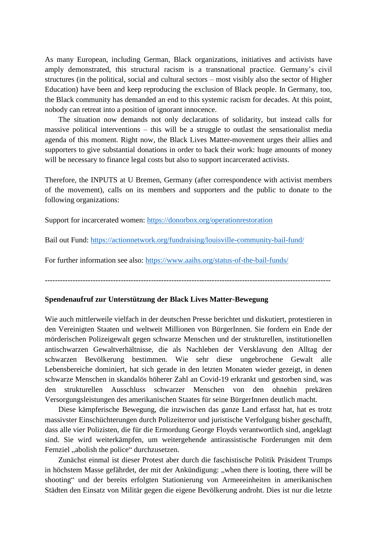As many European, including German, Black organizations, initiatives and activists have amply demonstrated, this structural racism is a transnational practice. Germany's civil structures (in the political, social and cultural sectors – most visibly also the sector of Higher Education) have been and keep reproducing the exclusion of Black people. In Germany, too, the Black community has demanded an end to this systemic racism for decades. At this point, nobody can retreat into a position of ignorant innocence.

The situation now demands not only declarations of solidarity, but instead calls for massive political interventions – this will be a struggle to outlast the sensationalist media agenda of this moment. Right now, the Black Lives Matter-movement urges their allies and supporters to give substantial donations in order to back their work: huge amounts of money will be necessary to finance legal costs but also to support incarcerated activists.

Therefore, the INPUTS at U Bremen, Germany (after correspondence with activist members of the movement), calls on its members and supporters and the public to donate to the following organizations:

Support for incarcerated women: <https://donorbox.org/operationrestoration>

Bail out Fund: <https://actionnetwork.org/fundraising/louisville-community-bail-fund/>

For further information see also:<https://www.aaihs.org/status-of-the-bail-funds/>

-----------------------------------------------------------------------------------------------------------------

## **Spendenaufruf zur Unterstützung der Black Lives Matter-Bewegung**

Wie auch mittlerweile vielfach in der deutschen Presse berichtet und diskutiert, protestieren in den Vereinigten Staaten und weltweit Millionen von BürgerInnen. Sie fordern ein Ende der mörderischen Polizeigewalt gegen schwarze Menschen und der strukturellen, institutionellen antischwarzen Gewaltverhältnisse, die als Nachleben der Versklavung den Alltag der schwarzen Bevölkerung bestimmen. Wie sehr diese ungebrochene Gewalt alle Lebensbereiche dominiert, hat sich gerade in den letzten Monaten wieder gezeigt, in denen schwarze Menschen in skandalös höherer Zahl an Covid-19 erkrankt und gestorben sind, was den strukturellen Ausschluss schwarzer Menschen von den ohnehin prekären Versorgungsleistungen des amerikanischen Staates für seine BürgerInnen deutlich macht.

Diese kämpferische Bewegung, die inzwischen das ganze Land erfasst hat, hat es trotz massivster Einschüchterungen durch Polizeiterror und juristische Verfolgung bisher geschafft, dass alle vier Polizisten, die für die Ermordung George Floyds verantwortlich sind, angeklagt sind. Sie wird weiterkämpfen, um weitergehende antirassistische Forderungen mit dem Fernziel "abolish the police" durchzusetzen.

Zunächst einmal ist dieser Protest aber durch die faschistische Politik Präsident Trumps in höchstem Masse gefährdet, der mit der Ankündigung: "when there is looting, there will be shooting" und der bereits erfolgten Stationierung von Armeeeinheiten in amerikanischen Städten den Einsatz von Militär gegen die eigene Bevölkerung androht. Dies ist nur die letzte